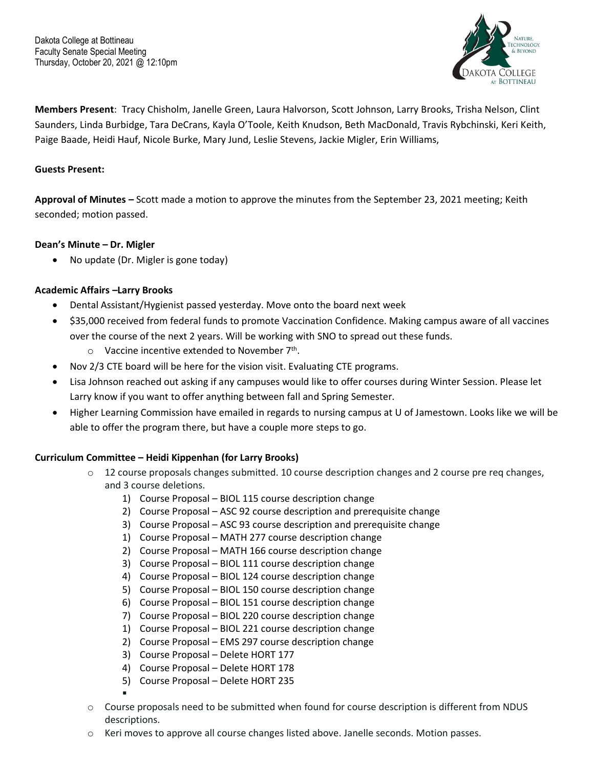

**Members Present**: Tracy Chisholm, Janelle Green, Laura Halvorson, Scott Johnson, Larry Brooks, Trisha Nelson, Clint Saunders, Linda Burbidge, Tara DeCrans, Kayla O'Toole, Keith Knudson, Beth MacDonald, Travis Rybchinski, Keri Keith, Paige Baade, Heidi Hauf, Nicole Burke, Mary Jund, Leslie Stevens, Jackie Migler, Erin Williams,

### **Guests Present:**

**Approval of Minutes –** Scott made a motion to approve the minutes from the September 23, 2021 meeting; Keith seconded; motion passed.

### **Dean's Minute – Dr. Migler**

• No update (Dr. Migler is gone today)

### **Academic Affairs –Larry Brooks**

- Dental Assistant/Hygienist passed yesterday. Move onto the board next week
- \$35,000 received from federal funds to promote Vaccination Confidence. Making campus aware of all vaccines over the course of the next 2 years. Will be working with SNO to spread out these funds.  $\circ$  Vaccine incentive extended to November 7<sup>th</sup>.
	- Nov 2/3 CTE board will be here for the vision visit. Evaluating CTE programs.
- Lisa Johnson reached out asking if any campuses would like to offer courses during Winter Session. Please let Larry know if you want to offer anything between fall and Spring Semester.
- Higher Learning Commission have emailed in regards to nursing campus at U of Jamestown. Looks like we will be able to offer the program there, but have a couple more steps to go.

## **Curriculum Committee – Heidi Kippenhan (for Larry Brooks)**

- $\circ$  12 course proposals changes submitted. 10 course description changes and 2 course pre req changes, and 3 course deletions.
	- 1) Course Proposal BIOL 115 course description change
	- 2) Course Proposal ASC 92 course description and prerequisite change
	- 3) Course Proposal ASC 93 course description and prerequisite change
	- 1) Course Proposal MATH 277 course description change
	- 2) Course Proposal MATH 166 course description change
	- 3) Course Proposal BIOL 111 course description change
	- 4) Course Proposal BIOL 124 course description change
	- 5) Course Proposal BIOL 150 course description change
	- 6) Course Proposal BIOL 151 course description change
	- 7) Course Proposal BIOL 220 course description change
	- 1) Course Proposal BIOL 221 course description change
	- 2) Course Proposal EMS 297 course description change
	- 3) Course Proposal Delete HORT 177
	- 4) Course Proposal Delete HORT 178
	- 5) Course Proposal Delete HORT 235
	- ▪
- o Course proposals need to be submitted when found for course description is different from NDUS descriptions.
- o Keri moves to approve all course changes listed above. Janelle seconds. Motion passes.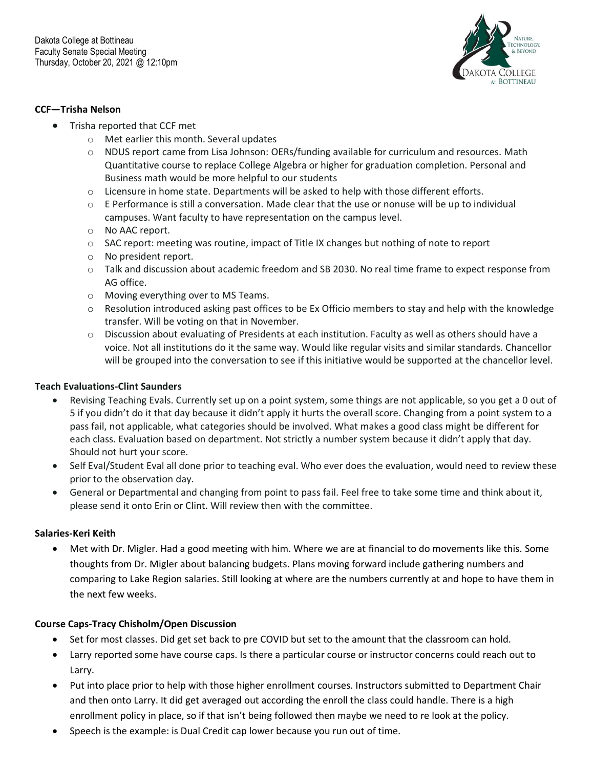

#### **CCF—Trisha Nelson**

- Trisha reported that CCF met
	- o Met earlier this month. Several updates
	- o NDUS report came from Lisa Johnson: OERs/funding available for curriculum and resources. Math Quantitative course to replace College Algebra or higher for graduation completion. Personal and Business math would be more helpful to our students
	- $\circ$  Licensure in home state. Departments will be asked to help with those different efforts.
	- o E Performance is still a conversation. Made clear that the use or nonuse will be up to individual campuses. Want faculty to have representation on the campus level.
	- o No AAC report.
	- o SAC report: meeting was routine, impact of Title IX changes but nothing of note to report
	- o No president report.
	- o Talk and discussion about academic freedom and SB 2030. No real time frame to expect response from AG office.
	- o Moving everything over to MS Teams.
	- o Resolution introduced asking past offices to be Ex Officio members to stay and help with the knowledge transfer. Will be voting on that in November.
	- o Discussion about evaluating of Presidents at each institution. Faculty as well as others should have a voice. Not all institutions do it the same way. Would like regular visits and similar standards. Chancellor will be grouped into the conversation to see if this initiative would be supported at the chancellor level.

#### **Teach Evaluations-Clint Saunders**

- Revising Teaching Evals. Currently set up on a point system, some things are not applicable, so you get a 0 out of 5 if you didn't do it that day because it didn't apply it hurts the overall score. Changing from a point system to a pass fail, not applicable, what categories should be involved. What makes a good class might be different for each class. Evaluation based on department. Not strictly a number system because it didn't apply that day. Should not hurt your score.
- Self Eval/Student Eval all done prior to teaching eval. Who ever does the evaluation, would need to review these prior to the observation day.
- General or Departmental and changing from point to pass fail. Feel free to take some time and think about it, please send it onto Erin or Clint. Will review then with the committee.

#### **Salaries-Keri Keith**

• Met with Dr. Migler. Had a good meeting with him. Where we are at financial to do movements like this. Some thoughts from Dr. Migler about balancing budgets. Plans moving forward include gathering numbers and comparing to Lake Region salaries. Still looking at where are the numbers currently at and hope to have them in the next few weeks.

#### **Course Caps-Tracy Chisholm/Open Discussion**

- Set for most classes. Did get set back to pre COVID but set to the amount that the classroom can hold.
- Larry reported some have course caps. Is there a particular course or instructor concerns could reach out to Larry.
- Put into place prior to help with those higher enrollment courses. Instructors submitted to Department Chair and then onto Larry. It did get averaged out according the enroll the class could handle. There is a high enrollment policy in place, so if that isn't being followed then maybe we need to re look at the policy.
- Speech is the example: is Dual Credit cap lower because you run out of time.